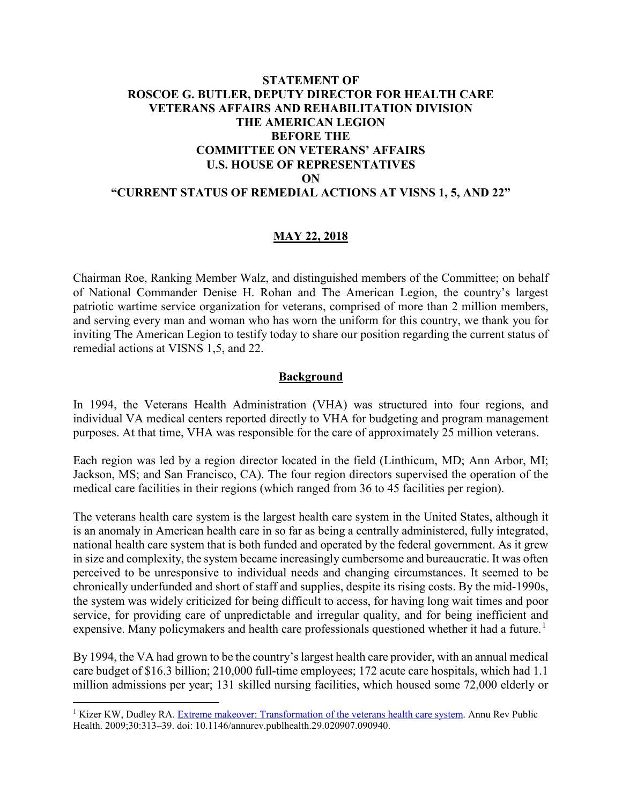# **STATEMENT OF ROSCOE G. BUTLER, DEPUTY DIRECTOR FOR HEALTH CARE VETERANS AFFAIRS AND REHABILITATION DIVISION THE AMERICAN LEGION BEFORE THE COMMITTEE ON VETERANS' AFFAIRS U.S. HOUSE OF REPRESENTATIVES ON "CURRENT STATUS OF REMEDIAL ACTIONS AT VISNS 1, 5, AND 22"**

### **MAY 22, 2018**

Chairman Roe, Ranking Member Walz, and distinguished members of the Committee; on behalf of National Commander Denise H. Rohan and The American Legion, the country's largest patriotic wartime service organization for veterans, comprised of more than 2 million members, and serving every man and woman who has worn the uniform for this country, we thank you for inviting The American Legion to testify today to share our position regarding the current status of remedial actions at VISNS 1,5, and 22.

#### **Background**

In 1994, the Veterans Health Administration (VHA) was structured into four regions, and individual VA medical centers reported directly to VHA for budgeting and program management purposes. At that time, VHA was responsible for the care of approximately 25 million veterans.

Each region was led by a region director located in the field (Linthicum, MD; Ann Arbor, MI; Jackson, MS; and San Francisco, CA). The four region directors supervised the operation of the medical care facilities in their regions (which ranged from 36 to 45 facilities per region).

The veterans health care system is the largest health care system in the United States, although it is an anomaly in American health care in so far as being a centrally administered, fully integrated, national health care system that is both funded and operated by the federal government. As it grew in size and complexity, the system became increasingly cumbersome and bureaucratic. It was often perceived to be unresponsive to individual needs and changing circumstances. It seemed to be chronically underfunded and short of staff and supplies, despite its rising costs. By the mid-1990s, the system was widely criticized for being difficult to access, for having long wait times and poor service, for providing care of unpredictable and irregular quality, and for being inefficient and expensive. Many policymakers and health care professionals questioned whether it had a future.<sup>[1](#page-0-0)</sup>

By 1994, the VA had grown to be the country's largest health care provider, with an annual medical care budget of \$16.3 billion; 210,000 full-time employees; 172 acute care hospitals, which had 1.1 million admissions per year; 131 skilled nursing facilities, which housed some 72,000 elderly or

 $\overline{a}$ 

<span id="page-0-0"></span><sup>&</sup>lt;sup>1</sup> Kizer KW, Dudley RA. [Extreme makeover: Transformation of the veterans health care system.](https://www.annualreviews.org/doi/pdf/10.1146/annurev.publhealth.29.020907.090940) Annu Rev Public Health. 2009;30:313–39. doi: 10.1146/annurev.publhealth.29.020907.090940.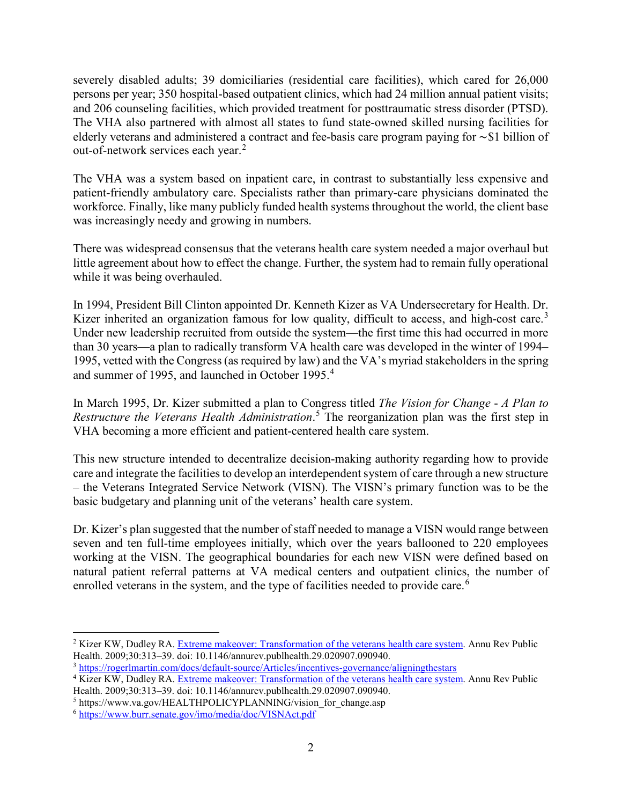severely disabled adults; 39 domiciliaries (residential care facilities), which cared for 26,000 persons per year; 350 hospital-based outpatient clinics, which had 24 million annual patient visits; and 206 counseling facilities, which provided treatment for posttraumatic stress disorder (PTSD). The VHA also partnered with almost all states to fund state-owned skilled nursing facilities for elderly veterans and administered a contract and fee-basis care program paying for ∼\$1 billion of out-of-network services each year.<sup>[2](#page-1-0)</sup>

The VHA was a system based on inpatient care, in contrast to substantially less expensive and patient-friendly ambulatory care. Specialists rather than primary-care physicians dominated the workforce. Finally, like many publicly funded health systems throughout the world, the client base was increasingly needy and growing in numbers.

There was widespread consensus that the veterans health care system needed a major overhaul but little agreement about how to effect the change. Further, the system had to remain fully operational while it was being overhauled.

In 1994, President Bill Clinton appointed Dr. Kenneth Kizer as VA Undersecretary for Health. Dr. Kizer inherited an organization famous for low quality, difficult to access, and high-cost care.<sup>[3](#page-1-1)</sup> Under new leadership recruited from outside the system—the first time this had occurred in more than 30 years—a plan to radically transform VA health care was developed in the winter of 1994– 1995, vetted with the Congress (as required by law) and the VA's myriad stakeholders in the spring and summer of 1995, and launched in October 1995.[4](#page-1-2)

In March 1995, Dr. Kizer submitted a plan to Congress titled *The Vision for Change* - *A Plan to Restructure the Veterans Health Administration*. [5](#page-1-3) The reorganization plan was the first step in VHA becoming a more efficient and patient-centered health care system.

This new structure intended to decentralize decision-making authority regarding how to provide care and integrate the facilities to develop an interdependent system of care through a new structure – the Veterans Integrated Service Network (VISN). The VISN's primary function was to be the basic budgetary and planning unit of the veterans' health care system.

Dr. Kizer's plan suggested that the number of staff needed to manage a VISN would range between seven and ten full-time employees initially, which over the years ballooned to 220 employees working at the VISN. The geographical boundaries for each new VISN were defined based on natural patient referral patterns at VA medical centers and outpatient clinics, the number of enrolled veterans in the system, and the type of facilities needed to provide care.<sup>[6](#page-1-4)</sup>

<span id="page-1-0"></span> $\overline{a}$ <sup>2</sup> Kizer KW, Dudley RA. [Extreme makeover: Transformation of the veterans health care system.](https://www.annualreviews.org/doi/pdf/10.1146/annurev.publhealth.29.020907.090940) Annu Rev Public Health. 2009;30:313–39. doi: 10.1146/annurev.publhealth.29.020907.090940.

<span id="page-1-1"></span><sup>3</sup> <https://rogerlmartin.com/docs/default-source/Articles/incentives-governance/aligningthestars>

<span id="page-1-2"></span><sup>4</sup> Kizer KW, Dudley RA. [Extreme makeover: Transformation of the veterans health care system.](https://www.annualreviews.org/doi/pdf/10.1146/annurev.publhealth.29.020907.090940) Annu Rev Public Health. 2009;30:313–39. doi: 10.1146/annurev.publhealth.29.020907.090940.

<span id="page-1-3"></span><sup>&</sup>lt;sup>5</sup> https://www.va.gov/HEALTHPOLICYPLANNING/vision for change.asp

<span id="page-1-4"></span><sup>6</sup> <https://www.burr.senate.gov/imo/media/doc/VISNAct.pdf>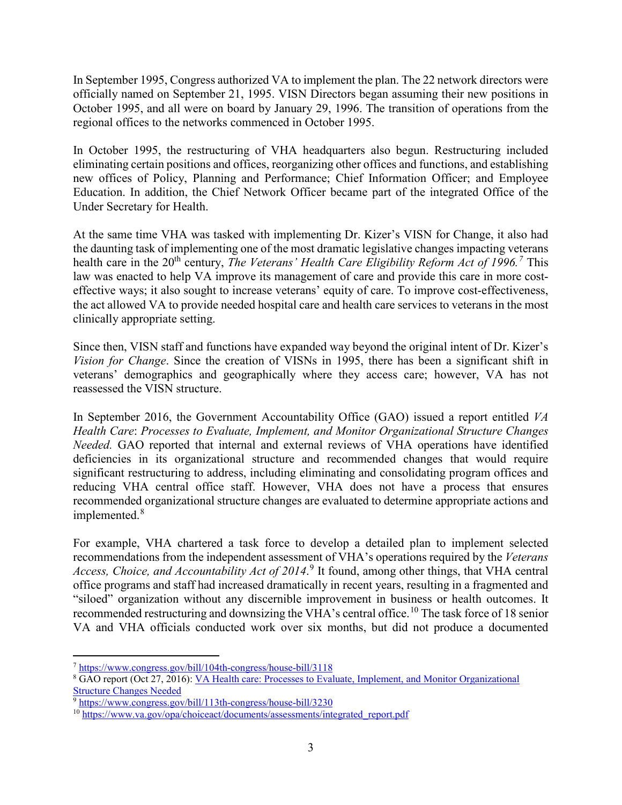In September 1995, Congress authorized VA to implement the plan. The 22 network directors were officially named on September 21, 1995. VISN Directors began assuming their new positions in October 1995, and all were on board by January 29, 1996. The transition of operations from the regional offices to the networks commenced in October 1995.

In October 1995, the restructuring of VHA headquarters also begun. Restructuring included eliminating certain positions and offices, reorganizing other offices and functions, and establishing new offices of Policy, Planning and Performance; Chief Information Officer; and Employee Education. In addition, the Chief Network Officer became part of the integrated Office of the Under Secretary for Health.

At the same time VHA was tasked with implementing Dr. Kizer's VISN for Change, it also had the daunting task of implementing one of the most dramatic legislative changes impacting veterans health care in the 20<sup>th</sup> century, *The Veterans' Health Care Eligibility Reform Act of 1996.*<sup>[7](#page-2-0)</sup> This law was enacted to help VA improve its management of care and provide this care in more costeffective ways; it also sought to increase veterans' equity of care. To improve cost-effectiveness, the act allowed VA to provide needed hospital care and health care services to veterans in the most clinically appropriate setting.

Since then, VISN staff and functions have expanded way beyond the original intent of Dr. Kizer's *Vision for Change*. Since the creation of VISNs in 1995, there has been a significant shift in veterans' demographics and geographically where they access care; however, VA has not reassessed the VISN structure.

In September 2016, the Government Accountability Office (GAO) issued a report entitled *VA Health Care*: *Processes to Evaluate, Implement, and Monitor Organizational Structure Changes Needed.* GAO reported that internal and external reviews of VHA operations have identified deficiencies in its organizational structure and recommended changes that would require significant restructuring to address, including eliminating and consolidating program offices and reducing VHA central office staff. However, VHA does not have a process that ensures recommended organizational structure changes are evaluated to determine appropriate actions and implemented.<sup>[8](#page-2-1)</sup>

For example, VHA chartered a task force to develop a detailed plan to implement selected recommendations from the independent assessment of VHA's operations required by the *Veterans Access, Choice, and Accountability Act of 2014*. [9](#page-2-2) It found, among other things, that VHA central office programs and staff had increased dramatically in recent years, resulting in a fragmented and "siloed" organization without any discernible improvement in business or health outcomes. It recommended restructuring and downsizing the VHA's central office.<sup>[10](#page-2-3)</sup> The task force of 18 senior VA and VHA officials conducted work over six months, but did not produce a documented

 $\overline{a}$ <sup>7</sup> <https://www.congress.gov/bill/104th-congress/house-bill/3118>

<span id="page-2-1"></span><span id="page-2-0"></span><sup>8</sup> GAO report (Oct 27, 2016): [VA Health care: Processes to Evaluate, Implement, and Monitor Organizational](https://www.gao.gov/products/GAO-16-803)  [Structure Changes Needed](https://www.gao.gov/products/GAO-16-803)

<span id="page-2-2"></span><sup>9</sup> <https://www.congress.gov/bill/113th-congress/house-bill/3230>

<span id="page-2-3"></span><sup>&</sup>lt;sup>10</sup> [https://www.va.gov/opa/choiceact/documents/assessments/integrated\\_report.pdf](https://www.va.gov/opa/choiceact/documents/assessments/integrated_report.pdf)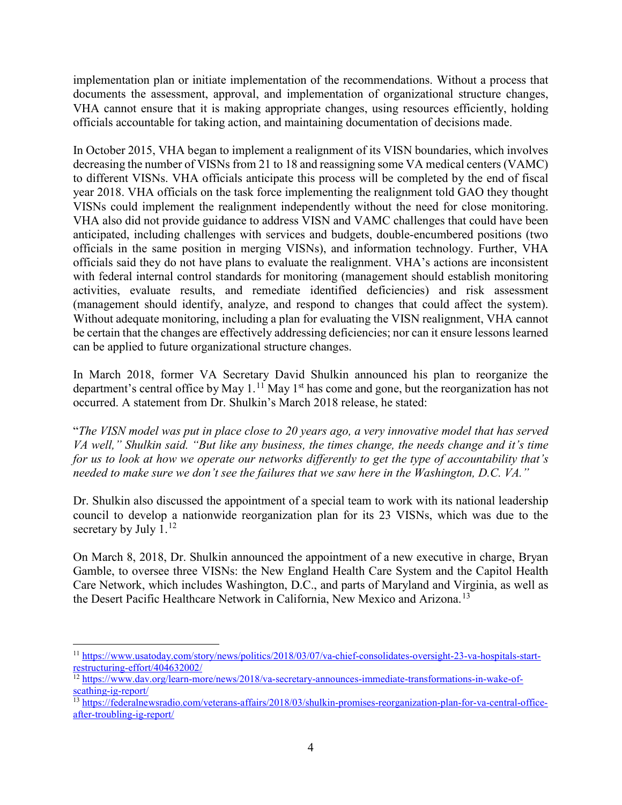implementation plan or initiate implementation of the recommendations. Without a process that documents the assessment, approval, and implementation of organizational structure changes, VHA cannot ensure that it is making appropriate changes, using resources efficiently, holding officials accountable for taking action, and maintaining documentation of decisions made.

In October 2015, VHA began to implement a realignment of its VISN boundaries, which involves decreasing the number of VISNs from 21 to 18 and reassigning some VA medical centers (VAMC) to different VISNs. VHA officials anticipate this process will be completed by the end of fiscal year 2018. VHA officials on the task force implementing the realignment told GAO they thought VISNs could implement the realignment independently without the need for close monitoring. VHA also did not provide guidance to address VISN and VAMC challenges that could have been anticipated, including challenges with services and budgets, double-encumbered positions (two officials in the same position in merging VISNs), and information technology. Further, VHA officials said they do not have plans to evaluate the realignment. VHA's actions are inconsistent with federal internal control standards for monitoring (management should establish monitoring activities, evaluate results, and remediate identified deficiencies) and risk assessment (management should identify, analyze, and respond to changes that could affect the system). Without adequate monitoring, including a plan for evaluating the VISN realignment, VHA cannot be certain that the changes are effectively addressing deficiencies; nor can it ensure lessons learned can be applied to future organizational structure changes.

In March 2018, former VA Secretary David Shulkin announced his plan to reorganize the department's central office by May  $1<sup>11</sup>$  $1<sup>11</sup>$  $1<sup>11</sup>$  May 1<sup>st</sup> has come and gone, but the reorganization has not occurred. A statement from Dr. Shulkin's March 2018 release, he stated:

"*The VISN model was put in place close to 20 years ago, a very innovative model that has served VA well," Shulkin said. "But like any business, the times change, the needs change and it's time for us to look at how we operate our networks differently to get the type of accountability that's needed to make sure we don't see the failures that we saw here in the Washington, D.C. VA."*

Dr. Shulkin also discussed the appointment of a special team to work with its national leadership council to develop a nationwide reorganization plan for its 23 VISNs, which was due to the secretary by July  $1<sup>12</sup>$  $1<sup>12</sup>$  $1<sup>12</sup>$ 

On March 8, 2018, Dr. Shulkin announced the appointment of a new executive in charge, Bryan Gamble, to oversee three VISNs: the New England Health Care System and the Capitol Health Care Network, which includes Washington, D.C., and parts of Maryland and Virginia, as well as the Desert Pacific Healthcare Network in California, New Mexico and Arizona.<sup>[13](#page-3-2)</sup>

<span id="page-3-0"></span> $\overline{a}$ <sup>11</sup> [https://www.usatoday.com/story/news/politics/2018/03/07/va-chief-consolidates-oversight-23-va-hospitals-start](https://www.usatoday.com/story/news/politics/2018/03/07/va-chief-consolidates-oversight-23-va-hospitals-start-restructuring-effort/404632002/)[restructuring-effort/404632002/](https://www.usatoday.com/story/news/politics/2018/03/07/va-chief-consolidates-oversight-23-va-hospitals-start-restructuring-effort/404632002/)

<span id="page-3-1"></span> $\frac{12 \text{ https://www.dav.org/learn-more/news/2018/va-secretary-announces-immediate-transformations-in-wake-of$ [scathing-ig-report/](https://www.dav.org/learn-more/news/2018/va-secretary-announces-immediate-transformations-in-wake-of-scathing-ig-report/)

<span id="page-3-2"></span><sup>&</sup>lt;sup>13</sup> [https://federalnewsradio.com/veterans-affairs/2018/03/shulkin-promises-reorganization-plan-for-va-central-office](https://federalnewsradio.com/veterans-affairs/2018/03/shulkin-promises-reorganization-plan-for-va-central-office-after-troubling-ig-report/)[after-troubling-ig-report/](https://federalnewsradio.com/veterans-affairs/2018/03/shulkin-promises-reorganization-plan-for-va-central-office-after-troubling-ig-report/)